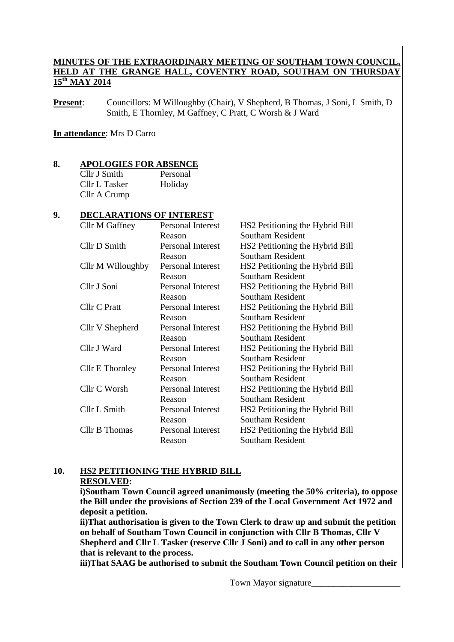## **MINUTES OF THE EXTRAORDINARY MEETING OF SOUTHAM TOWN COUNCIL, HELD AT THE GRANGE HALL, COVENTRY ROAD, SOUTHAM ON THURSDA 15th MAY 2014**

**Present:** Councillors: M Willoughby (Chair), V Shepherd, B Thomas, J Soni, L Smith, D Smith, E Thornley, M Gaffney, C Pratt, C Worsh & J Ward

#### **In attendance**: Mrs D Carro

#### **8. APOLOGIES FOR ABSENCE**

Cllr J Smith Personal Cllr L Tasker Holiday Cllr A Crump

### **9. DECLARATIONS OF INTEREST**

| Cllr M Gaffney    | <b>Personal Interest</b> | HS2 Petitioning the Hybrid Bill |
|-------------------|--------------------------|---------------------------------|
|                   | Reason                   | <b>Southam Resident</b>         |
| Cllr D Smith      | <b>Personal Interest</b> | HS2 Petitioning the Hybrid Bill |
|                   | Reason                   | <b>Southam Resident</b>         |
| Cllr M Willoughby | Personal Interest        | HS2 Petitioning the Hybrid Bill |
|                   | Reason                   | <b>Southam Resident</b>         |
| Cllr J Soni       | <b>Personal Interest</b> | HS2 Petitioning the Hybrid Bill |
|                   | Reason                   | <b>Southam Resident</b>         |
| Cllr C Pratt      | <b>Personal Interest</b> | HS2 Petitioning the Hybrid Bill |
|                   | Reason                   | <b>Southam Resident</b>         |
| Cllr V Shepherd   | <b>Personal Interest</b> | HS2 Petitioning the Hybrid Bill |
|                   | Reason                   | <b>Southam Resident</b>         |
| Cllr J Ward       | <b>Personal Interest</b> | HS2 Petitioning the Hybrid Bill |
|                   | Reason                   | <b>Southam Resident</b>         |
| Cllr E Thornley   | Personal Interest        | HS2 Petitioning the Hybrid Bill |
|                   | Reason                   | <b>Southam Resident</b>         |
| Cllr C Worsh      | <b>Personal Interest</b> | HS2 Petitioning the Hybrid Bill |
|                   | Reason                   | <b>Southam Resident</b>         |
| Cllr L Smith      | <b>Personal Interest</b> | HS2 Petitioning the Hybrid Bill |
|                   | Reason                   | <b>Southam Resident</b>         |
| Cllr B Thomas     | <b>Personal Interest</b> | HS2 Petitioning the Hybrid Bill |
|                   | Reason                   | <b>Southam Resident</b>         |
|                   |                          |                                 |

# **10. HS2 PETITIONING THE HYBRID BILL RESOLVED:**

**i)Southam Town Council agreed unanimously (meeting the 50% criteria), to oppose the Bill under the provisions of Section 239 of the Local Government Act 1972 and deposit a petition.** 

**ii)That authorisation is given to the Town Clerk to draw up and submit the petition on behalf of Southam Town Council in conjunction with Cllr B Thomas, Cllr V Shepherd and Cllr L Tasker (reserve Cllr J Soni) and to call in any other person that is relevant to the process.** 

**iii)That SAAG be authorised to submit the Southam Town Council petition on their**